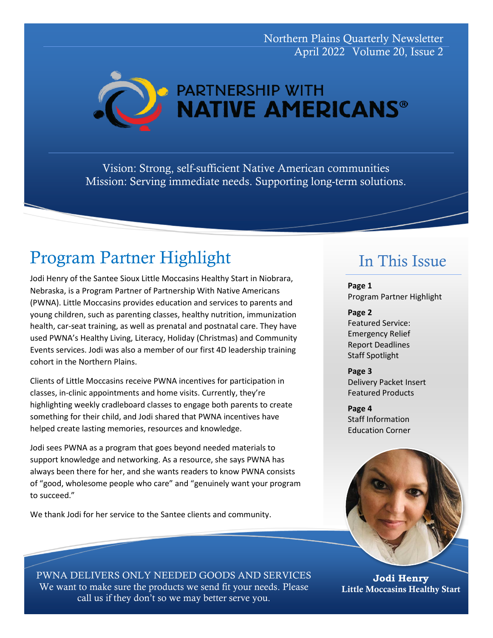Northern Plains Quarterly Newsletter April 2022 Volume 20, Issue 2

**PARTNERSHIP WITH NATIVE AMERICANS®** 

Vision: Strong, self-sufficient Native American communities Mission: Serving immediate needs. Supporting long-term solutions.

# Program Partner Highlight

Jodi Henry of the Santee Sioux Little Moccasins Healthy Start in Niobrara, Nebraska, is a Program Partner of Partnership With Native Americans (PWNA). Little Moccasins provides education and services to parents and young children, such as parenting classes, healthy nutrition, immunization health, car-seat training, as well as prenatal and postnatal care. They have used PWNA's Healthy Living, Literacy, Holiday (Christmas) and Community Events services. Jodi was also a member of our first 4D leadership training cohort in the Northern Plains.

Clients of Little Moccasins receive PWNA incentives for participation in classes, in-clinic appointments and home visits. Currently, they're highlighting weekly cradleboard classes to engage both parents to create something for their child, and Jodi shared that PWNA incentives have helped create lasting memories, resources and knowledge.

Jodi sees PWNA as a program that goes beyond needed materials to support knowledge and networking. As a resource, she says PWNA has always been there for her, and she wants readers to know PWNA consists of "good, wholesome people who care" and "genuinely want your program to succeed."

We thank Jodi for her service to the Santee clients and community.

## In This Issue

**Page 1** Program Partner Highlight

**Page 2** Featured Service: Emergency Relief Report Deadlines Staff Spotlight

**Page 3** Delivery Packet Insert Featured Products

**Page 4** Staff Information Education Corner



PWNA DELIVERS ONLY NEEDED GOODS AND SERVICES We want to make sure the products we send fit your needs. Please call us if they don't so we may better serve you.

**Jodi Henry** Little Moccasins Healthy Start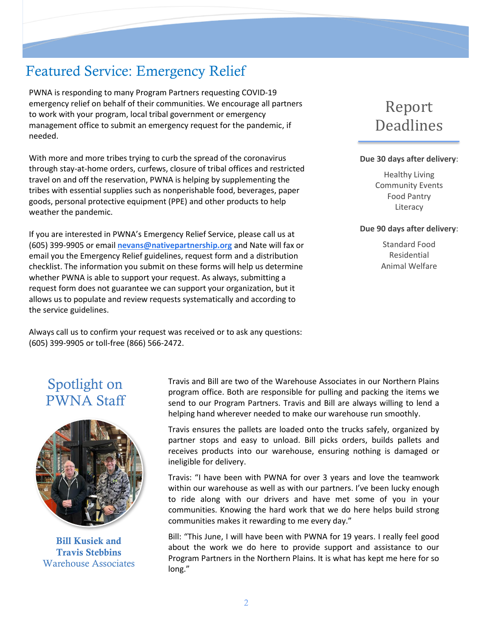## Featured Service: Emergency Relief

PWNA is responding to many Program Partners requesting COVID-19 emergency relief on behalf of their communities. We encourage all partners to work with your program, local tribal government or emergency management office to submit an emergency request for the pandemic, if needed.

With more and more tribes trying to curb the spread of the coronavirus through stay-at-home orders, curfews, closure of tribal offices and restricted travel on and off the reservation, PWNA is helping by supplementing the tribes with essential supplies such as nonperishable food, beverages, paper goods, personal protective equipment (PPE) and other products to help weather the pandemic.

If you are interested in PWNA's Emergency Relief Service, please call us at (605) 399-9905 or email **[nevans@nativepartnership.org](mailto:nevans@nativepartnership.org)** and Nate will fax or email you the Emergency Relief guidelines, request form and a distribution checklist. The information you submit on these forms will help us determine whether PWNA is able to support your request. As always, submitting a request form does not guarantee we can support your organization, but it allows us to populate and review requests systematically and according to the service guidelines.

Always call us to confirm your request was received or to ask any questions: (605) 399-9905 or toll-free (866) 566-2472.

# Report Deadlines

#### **Due 30 days after delivery**:

Healthy Living Community Events Food Pantry Literacy

#### **Due 90 days after delivery**:

Standard Food Residential Animal Welfare

## Spotlight on PWNA Staff



Bill Kusiek and Travis Stebbins Warehouse Associates

Travis and Bill are two of the Warehouse Associates in our Northern Plains program office. Both are responsible for pulling and packing the items we send to our Program Partners. Travis and Bill are always willing to lend a helping hand wherever needed to make our warehouse run smoothly.

Travis ensures the pallets are loaded onto the trucks safely, organized by partner stops and easy to unload. Bill picks orders, builds pallets and receives products into our warehouse, ensuring nothing is damaged or ineligible for delivery.

Travis: "I have been with PWNA for over 3 years and love the teamwork within our warehouse as well as with our partners. I've been lucky enough to ride along with our drivers and have met some of you in your communities. Knowing the hard work that we do here helps build strong communities makes it rewarding to me every day."

Bill: "This June, I will have been with PWNA for 19 years. I really feel good about the work we do here to provide support and assistance to our Program Partners in the Northern Plains. It is what has kept me here for so long."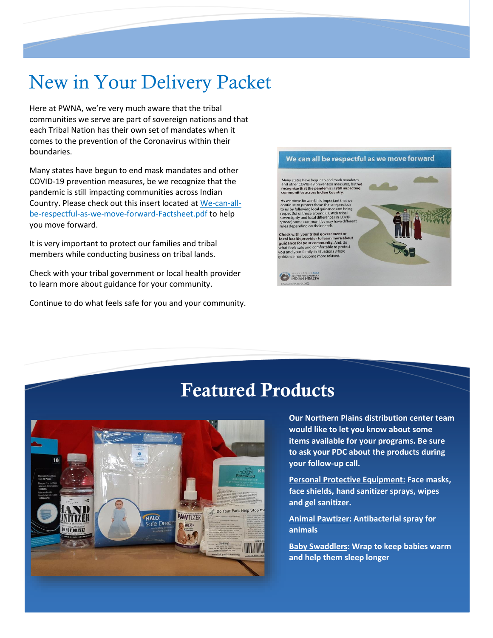# New in Your Delivery Packet

Here at PWNA, we're very much aware that the tribal communities we serve are part of sovereign nations and that each Tribal Nation has their own set of mandates when it comes to the prevention of the Coronavirus within their boundaries.

Many states have begun to end mask mandates and other COVID-19 prevention measures, be we recognize that the pandemic is still impacting communities across Indian Country. Please check out this insert located at [We-can-all](https://nyc3.digitaloceanspaces.com/caih-rl-media/2022/03/We-can-all-be-respectful-as-we-move-forward-Factsheet.pdf)[be-respectful-as-we-move-forward-Factsheet.pdf](https://nyc3.digitaloceanspaces.com/caih-rl-media/2022/03/We-can-all-be-respectful-as-we-move-forward-Factsheet.pdf) to help you move forward.

It is very important to protect our families and tribal members while conducting business on tribal lands.

Check with your tribal government or local health provider to learn more about guidance for your community.

Continue to do what feels safe for you and your community.



# Featured Products



**Our Northern Plains distribution center team would like to let you know about some items available for your programs. Be sure to ask your PDC about the products during your follow-up call.** 

**Personal Protective Equipment: Face masks, face shields, hand sanitizer sprays, wipes and gel sanitizer.**

**Animal Pawtizer: Antibacterial spray for animals**

**Baby Swaddlers: Wrap to keep babies warm and help them sleep longer**